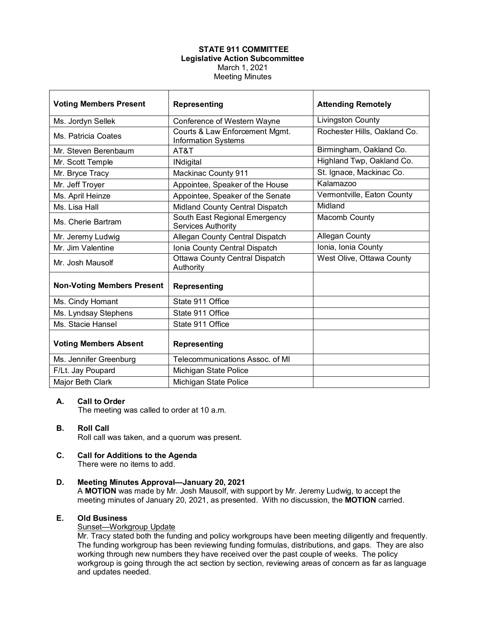# **STATE 911 COMMITTEE Legislative Action Subcommittee** March 1, 2021 Meeting Minutes

| <b>Voting Members Present</b>     | <b>Representing</b>                                          | <b>Attending Remotely</b>    |
|-----------------------------------|--------------------------------------------------------------|------------------------------|
| Ms. Jordyn Sellek                 | Conference of Western Wayne                                  | Livingston County            |
| Ms. Patricia Coates               | Courts & Law Enforcement Mgmt.<br><b>Information Systems</b> | Rochester Hills, Oakland Co. |
| Mr. Steven Berenbaum              | AT&T                                                         | Birmingham, Oakland Co.      |
| Mr. Scott Temple                  | <b>INdigital</b>                                             | Highland Twp, Oakland Co.    |
| Mr. Bryce Tracy                   | <b>Mackinac County 911</b>                                   | St. Ignace, Mackinac Co.     |
| Mr. Jeff Troyer                   | Appointee, Speaker of the House                              | Kalamazoo                    |
| Ms. April Heinze                  | Appointee, Speaker of the Senate                             | Vermontville, Eaton County   |
| Ms. Lisa Hall                     | Midland County Central Dispatch                              | Midland                      |
| Ms. Cherie Bartram                | South East Regional Emergency<br><b>Services Authority</b>   | Macomb County                |
| Mr. Jeremy Ludwig                 | Allegan County Central Dispatch                              | <b>Allegan County</b>        |
| Mr. Jim Valentine                 | Ionia County Central Dispatch                                | Ionia, Ionia County          |
| Mr. Josh Mausolf                  | <b>Ottawa County Central Dispatch</b><br>Authority           | West Olive, Ottawa County    |
| <b>Non-Voting Members Present</b> | <b>Representing</b>                                          |                              |
| Ms. Cindy Homant                  | State 911 Office                                             |                              |
| Ms. Lyndsay Stephens              | State 911 Office                                             |                              |
| Ms. Stacie Hansel                 | State 911 Office                                             |                              |
| <b>Voting Members Absent</b>      | <b>Representing</b>                                          |                              |
| Ms. Jennifer Greenburg            | Telecommunications Assoc. of MI                              |                              |
| F/Lt. Jay Poupard                 | Michigan State Police                                        |                              |
| Major Beth Clark                  | Michigan State Police                                        |                              |

## **A. Call to Order**

The meeting was called to order at 10 a.m.

# **B. Roll Call**

Roll call was taken, and a quorum was present.

**C. Call for Additions to the Agenda** There were no items to add.

# **D. Meeting Minutes Approval—January 20, 2021**

A **MOTION** was made by Mr. Josh Mausolf, with support by Mr. Jeremy Ludwig, to accept the meeting minutes of January 20, 2021, as presented. With no discussion, the **MOTION** carried.

## **E. Old Business**

## Sunset—Workgroup Update

Mr. Tracy stated both the funding and policy workgroups have been meeting diligently and frequently. The funding workgroup has been reviewing funding formulas, distributions, and gaps. They are also working through new numbers they have received over the past couple of weeks. The policy workgroup is going through the act section by section, reviewing areas of concern as far as language and updates needed.